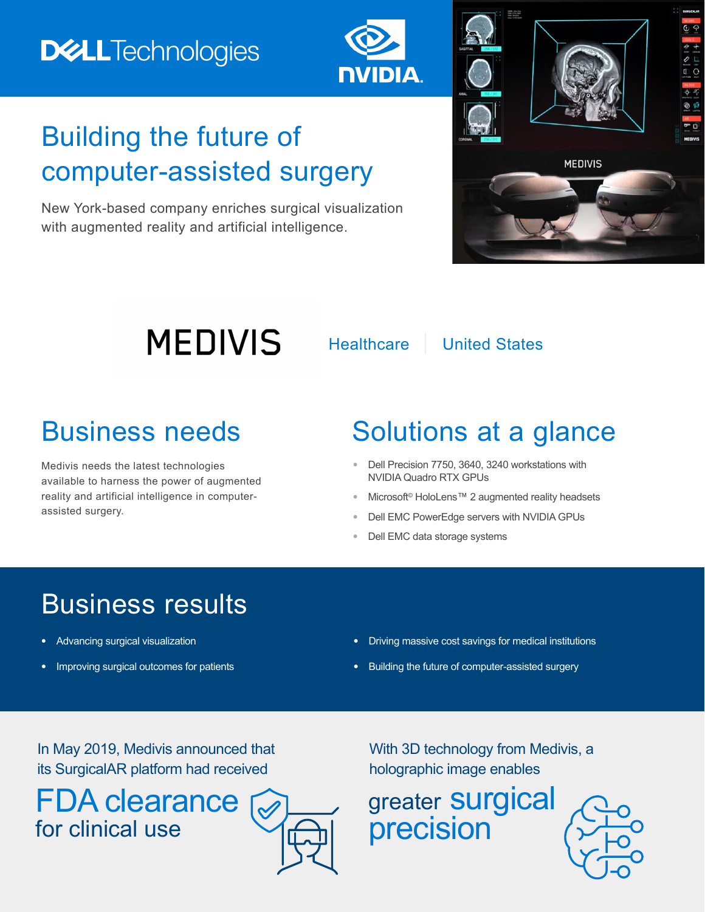

## Building the future of computer-assisted surgery

New York-based company enriches surgical visualization with augmented reality and artificial intelligence.



# **MEDIVIS**

Healthcare | United States

Medivis needs the latest technologies available to harness the power of augmented reality and artificial intelligence in computerassisted surgery.

## Business needs Solutions at a glance

- **•** Dell Precision 7750, 3640, 3240 workstations with NVIDIA Quadro RTX GPUs
- **•** Microsoft© HoloLens™ 2 augmented reality headsets
- **•** Dell EMC PowerEdge servers with NVIDIA GPUs
- **•** Dell EMC data storage systems

## Business results

- **•** Advancing surgical visualization
- **•** Improving surgical outcomes for patients
- **•** Driving massive cost savings for medical institutions
- **•** Building the future of computer-assisted surgery

In May 2019, Medivis announced that its SurgicalAR platform had received

FDA clearance for clinical use



With 3D technology from Medivis, a holographic image enables

greater **Surgical** precision

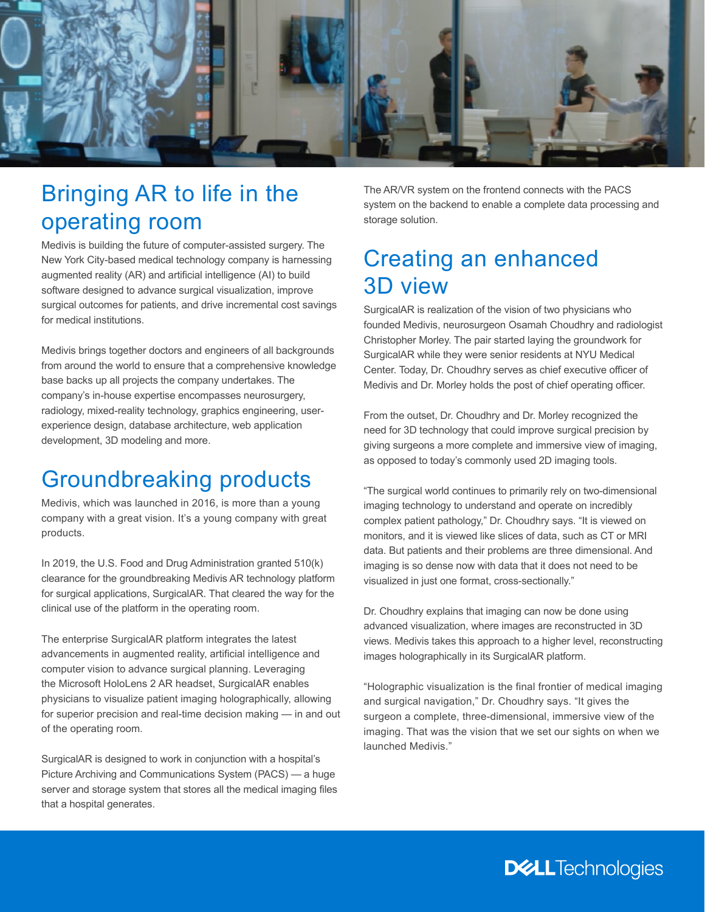

#### Bringing AR to life in the operating room

Medivis is building the future of computer-assisted surgery. The New York City-based medical technology company is harnessing augmented reality (AR) and artificial intelligence (AI) to build software designed to advance surgical visualization, improve surgical outcomes for patients, and drive incremental cost savings for medical institutions.

Medivis brings together doctors and engineers of all backgrounds from around the world to ensure that a comprehensive knowledge base backs up all projects the company undertakes. The company's in-house expertise encompasses neurosurgery, radiology, mixed-reality technology, graphics engineering, userexperience design, database architecture, web application development, 3D modeling and more.

#### Groundbreaking products

Medivis, which was launched in 2016, is more than a young company with a great vision. It's a young company with great products.

In 2019, the U.S. Food and Drug Administration granted 510(k) clearance for the groundbreaking Medivis AR technology platform for surgical applications, SurgicalAR. That cleared the way for the clinical use of the platform in the operating room.

The enterprise SurgicalAR platform integrates the latest advancements in augmented reality, artificial intelligence and computer vision to advance surgical planning. Leveraging the Microsoft HoloLens 2 AR headset, SurgicalAR enables physicians to visualize patient imaging holographically, allowing for superior precision and real-time decision making — in and out of the operating room.

SurgicalAR is designed to work in conjunction with a hospital's Picture Archiving and Communications System (PACS) — a huge server and storage system that stores all the medical imaging files that a hospital generates.

The AR/VR system on the frontend connects with the PACS system on the backend to enable a complete data processing and storage solution.

#### Creating an enhanced 3D view

SurgicalAR is realization of the vision of two physicians who founded Medivis, neurosurgeon Osamah Choudhry and radiologist Christopher Morley. The pair started laying the groundwork for SurgicalAR while they were senior residents at NYU Medical Center. Today, Dr. Choudhry serves as chief executive officer of Medivis and Dr. Morley holds the post of chief operating officer.

From the outset, Dr. Choudhry and Dr. Morley recognized the need for 3D technology that could improve surgical precision by giving surgeons a more complete and immersive view of imaging, as opposed to today's commonly used 2D imaging tools.

"The surgical world continues to primarily rely on two-dimensional imaging technology to understand and operate on incredibly complex patient pathology," Dr. Choudhry says. "It is viewed on monitors, and it is viewed like slices of data, such as CT or MRI data. But patients and their problems are three dimensional. And imaging is so dense now with data that it does not need to be visualized in just one format, cross-sectionally."

Dr. Choudhry explains that imaging can now be done using advanced visualization, where images are reconstructed in 3D views. Medivis takes this approach to a higher level, reconstructing images holographically in its SurgicalAR platform.

"Holographic visualization is the final frontier of medical imaging and surgical navigation," Dr. Choudhry says. "It gives the surgeon a complete, three-dimensional, immersive view of the imaging. That was the vision that we set our sights on when we launched Medivis."

**DELL**Technologies